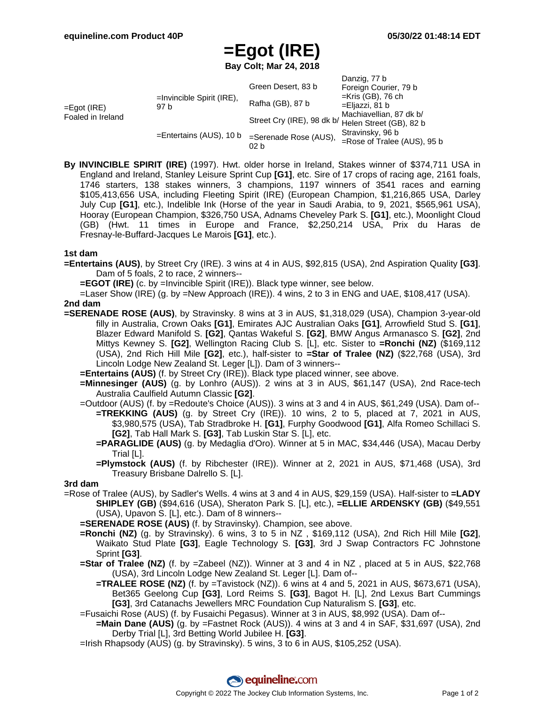Danzig, 77 b

# **=Egot (IRE)**

**Bay Colt; Mar 24, 2018**

|                                  |                                      |                                                    | Daliziy, <i>II</i> D           |
|----------------------------------|--------------------------------------|----------------------------------------------------|--------------------------------|
| =Egot (IRE)<br>Foaled in Ireland | $=$ Invincible Spirit (IRE),<br>97 b | Green Desert, 83 b                                 | Foreign Courier, 79 b          |
|                                  |                                      | Rafha (GB), 87 b                                   | $=$ Kris (GB), 76 ch           |
|                                  |                                      |                                                    | =Eljazzi, 81 b                 |
|                                  |                                      | Street Cry (IRE), 98 dk b/ Helen Street (GB), 82 b | Machiavellian, 87 dk b/        |
|                                  | $=$ Entertains (AUS), 10 b           |                                                    |                                |
|                                  |                                      | =Serenade Rose (AUS),<br>02 b                      | Stravinsky, 96 b               |
|                                  |                                      |                                                    | $=$ Rose of Tralee (AUS), 95 b |
|                                  |                                      |                                                    |                                |

**By INVINCIBLE SPIRIT (IRE)** (1997). Hwt. older horse in Ireland, Stakes winner of \$374,711 USA in England and Ireland, Stanley Leisure Sprint Cup **[G1]**, etc. Sire of 17 crops of racing age, 2161 foals, 1746 starters, 138 stakes winners, 3 champions, 1197 winners of 3541 races and earning \$105,413,656 USA, including Fleeting Spirit (IRE) (European Champion, \$1,216,865 USA, Darley July Cup **[G1]**, etc.), Indelible Ink (Horse of the year in Saudi Arabia, to 9, 2021, \$565,961 USA), Hooray (European Champion, \$326,750 USA, Adnams Cheveley Park S. **[G1]**, etc.), Moonlight Cloud (GB) (Hwt. 11 times in Europe and France, \$2,250,214 USA, Prix du Haras de Fresnay-le-Buffard-Jacques Le Marois **[G1]**, etc.).

#### **1st dam**

- **=Entertains (AUS)**, by Street Cry (IRE). 3 wins at 4 in AUS, \$92,815 (USA), 2nd Aspiration Quality **[G3]**. Dam of 5 foals, 2 to race, 2 winners--
	- **=EGOT (IRE)** (c. by =Invincible Spirit (IRE)). Black type winner, see below.
	- =Laser Show (IRE) (g. by =New Approach (IRE)). 4 wins, 2 to 3 in ENG and UAE, \$108,417 (USA).

#### **2nd dam**

- **=SERENADE ROSE (AUS)**, by Stravinsky. 8 wins at 3 in AUS, \$1,318,029 (USA), Champion 3-year-old filly in Australia, Crown Oaks **[G1]**, Emirates AJC Australian Oaks **[G1]**, Arrowfield Stud S. **[G1]**, Blazer Edward Manifold S. **[G2]**, Qantas Wakeful S. **[G2]**, BMW Angus Armanasco S. **[G2]**, 2nd Mittys Kewney S. **[G2]**, Wellington Racing Club S. [L], etc. Sister to **=Ronchi (NZ)** (\$169,112 (USA), 2nd Rich Hill Mile **[G2]**, etc.), half-sister to **=Star of Tralee (NZ)** (\$22,768 (USA), 3rd Lincoln Lodge New Zealand St. Leger [L]). Dam of 3 winners--
	- **=Entertains (AUS)** (f. by Street Cry (IRE)). Black type placed winner, see above.
	- **=Minnesinger (AUS)** (g. by Lonhro (AUS)). 2 wins at 3 in AUS, \$61,147 (USA), 2nd Race-tech Australia Caulfield Autumn Classic **[G2]**.
	- =Outdoor (AUS) (f. by =Redoute's Choice (AUS)). 3 wins at 3 and 4 in AUS, \$61,249 (USA). Dam of-- **=TREKKING (AUS)** (g. by Street Cry (IRE)). 10 wins, 2 to 5, placed at 7, 2021 in AUS, \$3,980,575 (USA), Tab Stradbroke H. **[G1]**, Furphy Goodwood **[G1]**, Alfa Romeo Schillaci S.
		- **[G2]**, Tab Hall Mark S. **[G3]**, Tab Luskin Star S. [L], etc.
		- **=PARAGLIDE (AUS)** (g. by Medaglia d'Oro). Winner at 5 in MAC, \$34,446 (USA), Macau Derby Trial [L].
		- **=Plymstock (AUS)** (f. by Ribchester (IRE)). Winner at 2, 2021 in AUS, \$71,468 (USA), 3rd Treasury Brisbane Dalrello S. [L].

#### **3rd dam**

- =Rose of Tralee (AUS), by Sadler's Wells. 4 wins at 3 and 4 in AUS, \$29,159 (USA). Half-sister to **=LADY SHIPLEY (GB)** (\$94,616 (USA), Sheraton Park S. [L], etc.), **=ELLIE ARDENSKY (GB)** (\$49,551 (USA), Upavon S. [L], etc.). Dam of 8 winners--
	- **=SERENADE ROSE (AUS)** (f. by Stravinsky). Champion, see above.
	- **=Ronchi (NZ)** (g. by Stravinsky). 6 wins, 3 to 5 in NZ , \$169,112 (USA), 2nd Rich Hill Mile **[G2]**, Waikato Stud Plate **[G3]**, Eagle Technology S. **[G3]**, 3rd J Swap Contractors FC Johnstone Sprint **[G3]**.
	- **=Star of Tralee (NZ)** (f. by =Zabeel (NZ)). Winner at 3 and 4 in NZ, placed at 5 in AUS, \$22,768 (USA), 3rd Lincoln Lodge New Zealand St. Leger [L]. Dam of--
		- **=TRALEE ROSE (NZ)** (f. by =Tavistock (NZ)). 6 wins at 4 and 5, 2021 in AUS, \$673,671 (USA), Bet365 Geelong Cup **[G3]**, Lord Reims S. **[G3]**, Bagot H. [L], 2nd Lexus Bart Cummings **[G3]**, 3rd Catanachs Jewellers MRC Foundation Cup Naturalism S. **[G3]**, etc.
	- =Fusaichi Rose (AUS) (f. by Fusaichi Pegasus). Winner at 3 in AUS, \$8,992 (USA). Dam of--
	- **=Main Dane (AUS)** (g. by =Fastnet Rock (AUS)). 4 wins at 3 and 4 in SAF, \$31,697 (USA), 2nd Derby Trial [L], 3rd Betting World Jubilee H. **[G3]**.
	- =Irish Rhapsody (AUS) (g. by Stravinsky). 5 wins, 3 to 6 in AUS, \$105,252 (USA).